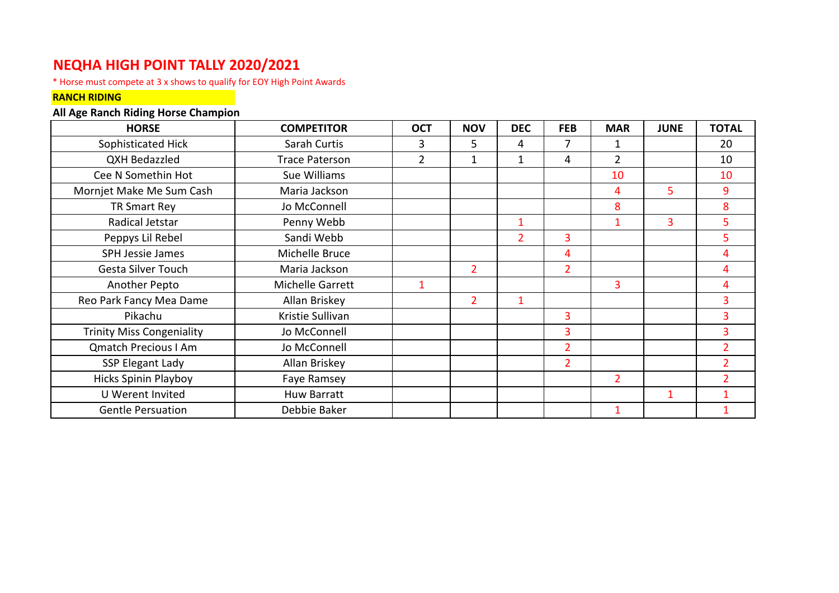## **NEQHA HIGH POINT TALLY 2020/2021**

\* Horse must compete at 3 x shows to qualify for EOY High Point Awards

## **RANCH RIDING**

## **All Age Ranch Riding Horse Champion**

| <b>HORSE</b>                     | <b>COMPETITOR</b>     | <b>OCT</b>     | <b>NOV</b>     | <b>DEC</b>     | <b>FEB</b>     | <b>MAR</b>     | <b>JUNE</b> | <b>TOTAL</b>             |
|----------------------------------|-----------------------|----------------|----------------|----------------|----------------|----------------|-------------|--------------------------|
| Sophisticated Hick               | Sarah Curtis          | 3              | 5              | 4              | 7              |                |             | 20                       |
| <b>QXH Bedazzled</b>             | <b>Trace Paterson</b> | $\overline{2}$ | 1              | 1              | 4              | $\overline{2}$ |             | 10                       |
| Cee N Somethin Hot               | Sue Williams          |                |                |                |                | 10             |             | 10                       |
| Mornjet Make Me Sum Cash         | Maria Jackson         |                |                |                |                | 4              | 5           | 9                        |
| TR Smart Rey                     | Jo McConnell          |                |                |                |                | 8              |             | 8                        |
| Radical Jetstar                  | Penny Webb            |                |                | $\mathbf{1}$   |                | $\mathbf{1}$   | 3           | 5                        |
| Peppys Lil Rebel                 | Sandi Webb            |                |                | $\overline{2}$ | 3              |                |             | 5                        |
| <b>SPH Jessie James</b>          | Michelle Bruce        |                |                |                | 4              |                |             | 4                        |
| Gesta Silver Touch               | Maria Jackson         |                | $\overline{2}$ |                | $\overline{2}$ |                |             | 4                        |
| Another Pepto                    | Michelle Garrett      | 1              |                |                |                | 3              |             | 4                        |
| Reo Park Fancy Mea Dame          | Allan Briskey         |                | $\overline{2}$ | $\mathbf{1}$   |                |                |             | 3                        |
| Pikachu                          | Kristie Sullivan      |                |                |                | 3              |                |             | 3                        |
| <b>Trinity Miss Congeniality</b> | Jo McConnell          |                |                |                | $\overline{3}$ |                |             | 3                        |
| <b>Qmatch Precious I Am</b>      | Jo McConnell          |                |                |                | $\overline{2}$ |                |             | $\overline{2}$           |
| <b>SSP Elegant Lady</b>          | Allan Briskey         |                |                |                | $\overline{2}$ |                |             | $\overline{2}$           |
| <b>Hicks Spinin Playboy</b>      | Faye Ramsey           |                |                |                |                | $\overline{2}$ |             | $\overline{\phantom{a}}$ |
| U Werent Invited                 | <b>Huw Barratt</b>    |                |                |                |                |                | 1           | 1                        |
| <b>Gentle Persuation</b>         | Debbie Baker          |                |                |                |                |                |             |                          |